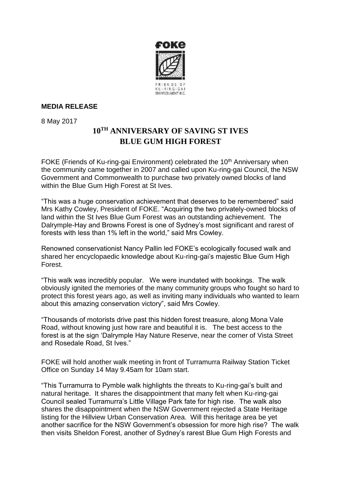

## **MEDIA RELEASE**

8 May 2017

## **10TH ANNIVERSARY OF SAVING ST IVES BLUE GUM HIGH FOREST**

FOKE (Friends of Ku-ring-gai Environment) celebrated the 10<sup>th</sup> Anniversary when the community came together in 2007 and called upon Ku-ring-gai Council, the NSW Government and Commonwealth to purchase two privately owned blocks of land within the Blue Gum High Forest at St Ives.

"This was a huge conservation achievement that deserves to be remembered" said Mrs Kathy Cowley, President of FOKE. "Acquiring the two privately-owned blocks of land within the St Ives Blue Gum Forest was an outstanding achievement. The Dalrymple-Hay and Browns Forest is one of Sydney's most significant and rarest of forests with less than 1% left in the world," said Mrs Cowley.

Renowned conservationist Nancy Pallin led FOKE's ecologically focused walk and shared her encyclopaedic knowledge about Ku-ring-gai's majestic Blue Gum High Forest.

"This walk was incredibly popular. We were inundated with bookings. The walk obviously ignited the memories of the many community groups who fought so hard to protect this forest years ago, as well as inviting many individuals who wanted to learn about this amazing conservation victory", said Mrs Cowley.

"Thousands of motorists drive past this hidden forest treasure, along Mona Vale Road, without knowing just how rare and beautiful it is. The best access to the forest is at the sign 'Dalrymple Hay Nature Reserve, near the corner of Vista Street and Rosedale Road, St Ives."

FOKE will hold another walk meeting in front of Turramurra Railway Station Ticket Office on Sunday 14 May 9.45am for 10am start.

"This Turramurra to Pymble walk highlights the threats to Ku-ring-gai's built and natural heritage. It shares the disappointment that many felt when Ku-ring-gai Council sealed Turramurra's Little Village Park fate for high rise. The walk also shares the disappointment when the NSW Government rejected a State Heritage listing for the Hillview Urban Conservation Area. Will this heritage area be yet another sacrifice for the NSW Government's obsession for more high rise? The walk then visits Sheldon Forest, another of Sydney's rarest Blue Gum High Forests and